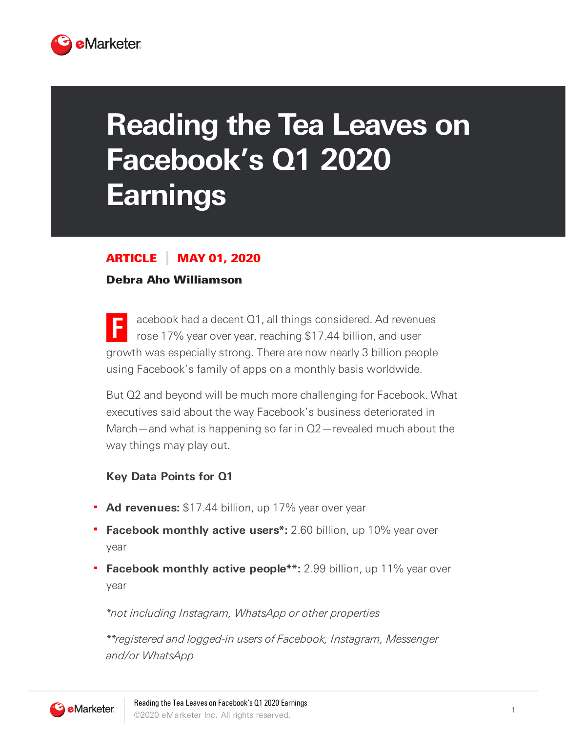

# **Reading the Tea Leaves on Facebook's Q1 2020 Earnings**

# ARTICLE MAY 01, 2020

#### Debra Aho Williamson

**F** acebook had a decent Q1, all things considered. Ad revenues rose 17% year over year, reaching \$17.44 billion, and user growth was especially strong. There are now nearly 3 billion people using Facebook's family of apps on a monthly basis worldwide.

But Q2 and beyond will be much more challenging for Facebook. What executives said about the way Facebook's business deteriorated in March—and what is happening so far in Q2—revealed much about the way things may play out.

#### **Key Data Points for Q1**

- **Ad revenues:** \$17.44 billion, up 17% year over year
- **Facebook monthly active users\*:** 2.60 billion, up 10% year over year
- **Facebook monthly active people\*\*:** 2.99 billion, up 11% year over year

\*not including Instagram, WhatsApp or other properties

\*\*registered and logged-in users of Facebook, Instagram, Messenger and/or WhatsApp

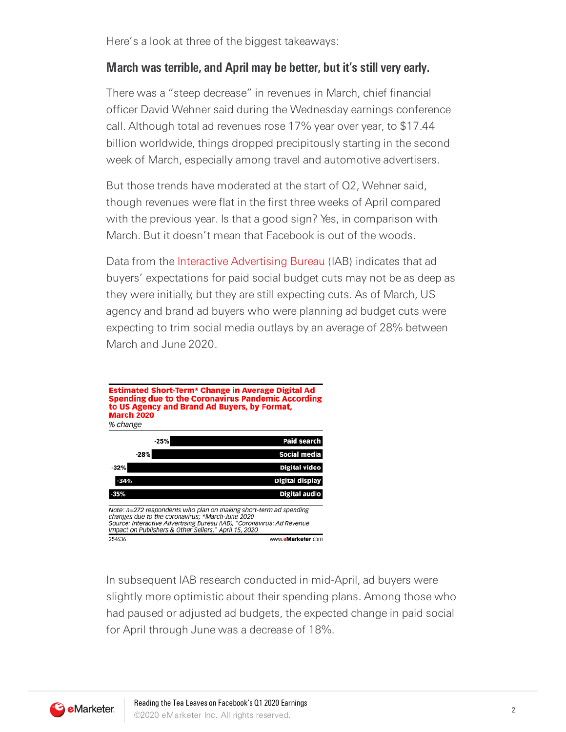Here's a look at three of the biggest takeaways:

## **March was terrible, and April may be better, but it's still very early.**

There was a "steep decrease" in revenues in March, chief financial officer David Wehner said during the Wednesday earnings conference call. Although total ad revenues rose 17% year over year, to \$17.44 billion worldwide, things dropped precipitously starting in the second week of March, especially among travel and automotive advertisers.

But those trends have moderated at the start of Q2, Wehner said, though revenues were flat in the first three weeks of April compared with the previous year. Is that a good sign? Yes, in comparison with March. But it doesn't mean that Facebook is out of the woods.

Data from the Interactive [Advertising](https://www.iab.com/) Bureau (IAB) indicates that ad buyers' expectations for paid social budget cuts may not be as deep as they were initially, but they are still expecting cuts. As of March, US agency and brand ad buyers who were planning ad budget cuts were expecting to trim social media outlays by an average of 28% between March and June 2020.



In subsequent IAB research conducted in mid-April, ad buyers were slightly more optimistic about their spending plans. Among those who had paused or adjusted ad budgets, the expected change in paid social for April through June was a decrease of 18%.

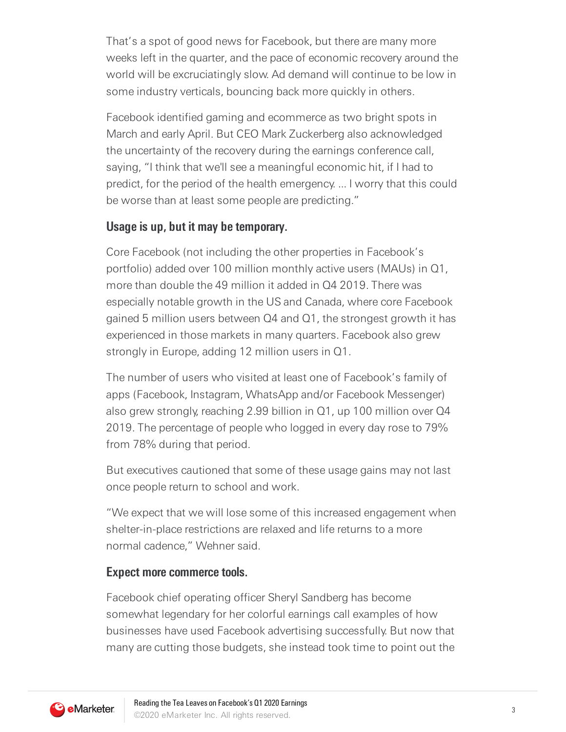That's a spot of good news for Facebook, but there are many more weeks left in the quarter, and the pace of economic recovery around the world will be excruciatingly slow. Ad demand will continue to be low in some industry verticals, bouncing back more quickly in others.

Facebook identified gaming and ecommerce as two bright spots in March and early April. But CEO Mark Zuckerberg also acknowledged the uncertainty of the recovery during the earnings conference call, saying, "I think that we'll see a meaningful economic hit, if I had to predict, for the period of the health emergency. ... I worry that this could be worse than at least some people are predicting."

# **Usage is up, but it may be temporary.**

Core Facebook (not including the other properties in Facebook's portfolio) added over 100 million monthly active users (MAUs) in Q1, more than double the 49 million it added in Q4 2019. There was especially notable growth in the US and Canada, where core Facebook gained 5 million users between Q4 and Q1, the strongest growth it has experienced in those markets in many quarters. Facebook also grew strongly in Europe, adding 12 million users in Q1.

The number of users who visited at least one of Facebook's family of apps (Facebook, Instagram, WhatsApp and/or Facebook Messenger) also grew strongly, reaching 2.99 billion in Q1, up 100 million over Q4 2019. The percentage of people who logged in every day rose to 79% from 78% during that period.

But executives cautioned that some of these usage gains may not last once people return to school and work.

"We expect that we will lose some of this increased engagement when shelter-in-place restrictions are relaxed and life returns to a more normal cadence," Wehner said.

## **Expect more commerce tools.**

Facebook chief operating officer Sheryl Sandberg has become somewhat legendary for her colorful earnings call examples of how businesses have used Facebook advertising successfully. But now that many are cutting those budgets, she instead took time to point out the